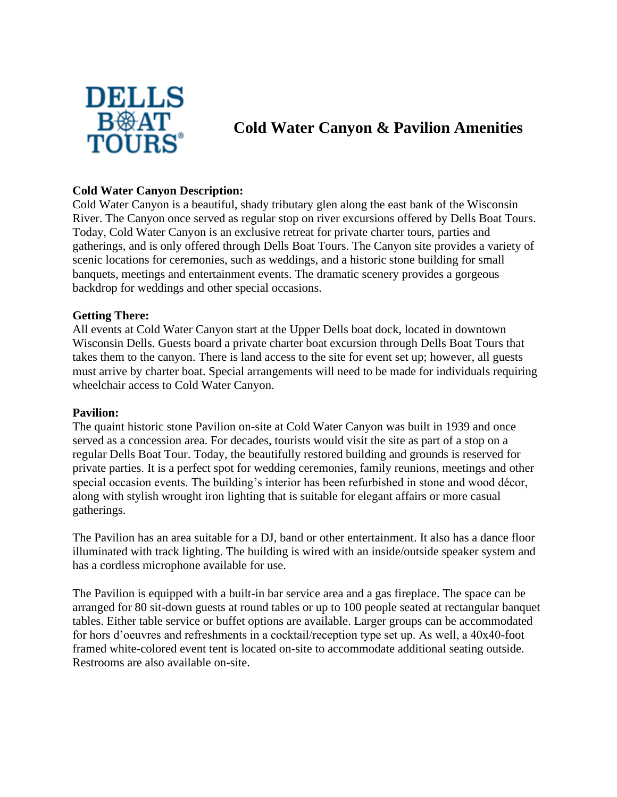

# **Cold Water Canyon & Pavilion Amenities**

## **Cold Water Canyon Description:**

Cold Water Canyon is a beautiful, shady tributary glen along the east bank of the Wisconsin River. The Canyon once served as regular stop on river excursions offered by Dells Boat Tours. Today, Cold Water Canyon is an exclusive retreat for private charter tours, parties and gatherings, and is only offered through Dells Boat Tours. The Canyon site provides a variety of scenic locations for ceremonies, such as weddings, and a historic stone building for small banquets, meetings and entertainment events. The dramatic scenery provides a gorgeous backdrop for weddings and other special occasions.

## **Getting There:**

All events at Cold Water Canyon start at the Upper Dells boat dock, located in downtown Wisconsin Dells. Guests board a private charter boat excursion through Dells Boat Tours that takes them to the canyon. There is land access to the site for event set up; however, all guests must arrive by charter boat. Special arrangements will need to be made for individuals requiring wheelchair access to Cold Water Canyon.

## **Pavilion:**

The quaint historic stone Pavilion on-site at Cold Water Canyon was built in 1939 and once served as a concession area. For decades, tourists would visit the site as part of a stop on a regular Dells Boat Tour. Today, the beautifully restored building and grounds is reserved for private parties. It is a perfect spot for wedding ceremonies, family reunions, meetings and other special occasion events. The building's interior has been refurbished in stone and wood décor, along with stylish wrought iron lighting that is suitable for elegant affairs or more casual gatherings.

The Pavilion has an area suitable for a DJ, band or other entertainment. It also has a dance floor illuminated with track lighting. The building is wired with an inside/outside speaker system and has a cordless microphone available for use.

The Pavilion is equipped with a built-in bar service area and a gas fireplace. The space can be arranged for 80 sit-down guests at round tables or up to 100 people seated at rectangular banquet tables. Either table service or buffet options are available. Larger groups can be accommodated for hors d'oeuvres and refreshments in a cocktail/reception type set up. As well, a 40x40-foot framed white-colored event tent is located on-site to accommodate additional seating outside. Restrooms are also available on-site.